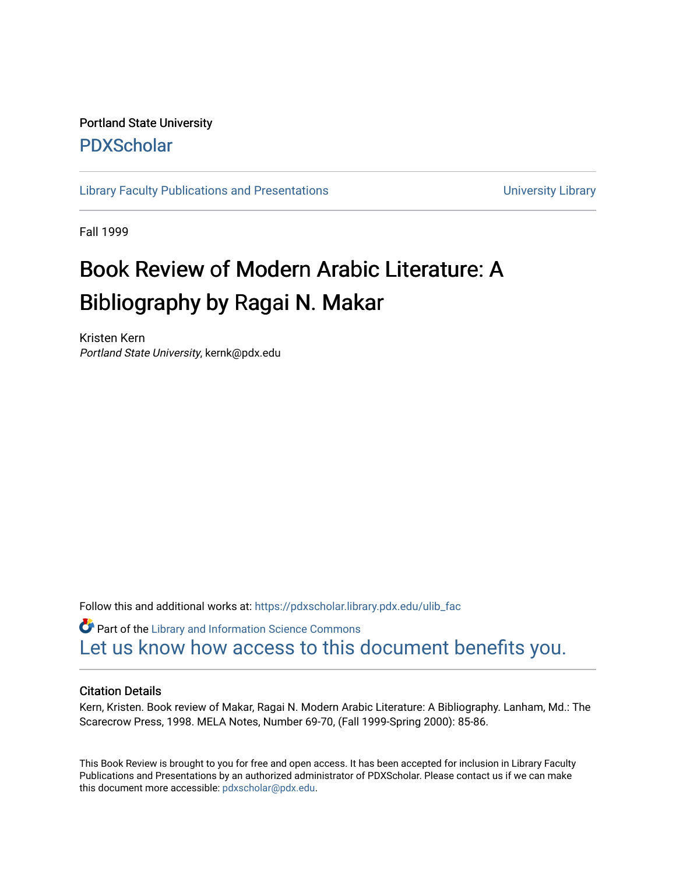## Portland State University [PDXScholar](https://pdxscholar.library.pdx.edu/)

[Library Faculty Publications and Presentations](https://pdxscholar.library.pdx.edu/ulib_fac) **Exercise 20 and Exercise 20 and Exercise** University Library

Fall 1999

## Book Review of Modern Arabic Literature: A Bibliography by Ragai N. Makar

Kristen Kern Portland State University, kernk@pdx.edu

Follow this and additional works at: [https://pdxscholar.library.pdx.edu/ulib\\_fac](https://pdxscholar.library.pdx.edu/ulib_fac?utm_source=pdxscholar.library.pdx.edu%2Fulib_fac%2F132&utm_medium=PDF&utm_campaign=PDFCoverPages) 

**Part of the Library and Information Science Commons** [Let us know how access to this document benefits you.](http://library.pdx.edu/services/pdxscholar-services/pdxscholar-feedback/?ref=https://pdxscholar.library.pdx.edu/ulib_fac/132) 

## Citation Details

Kern, Kristen. Book review of Makar, Ragai N. Modern Arabic Literature: A Bibliography. Lanham, Md.: The Scarecrow Press, 1998. MELA Notes, Number 69-70, (Fall 1999-Spring 2000): 85-86.

This Book Review is brought to you for free and open access. It has been accepted for inclusion in Library Faculty Publications and Presentations by an authorized administrator of PDXScholar. Please contact us if we can make this document more accessible: [pdxscholar@pdx.edu.](mailto:pdxscholar@pdx.edu)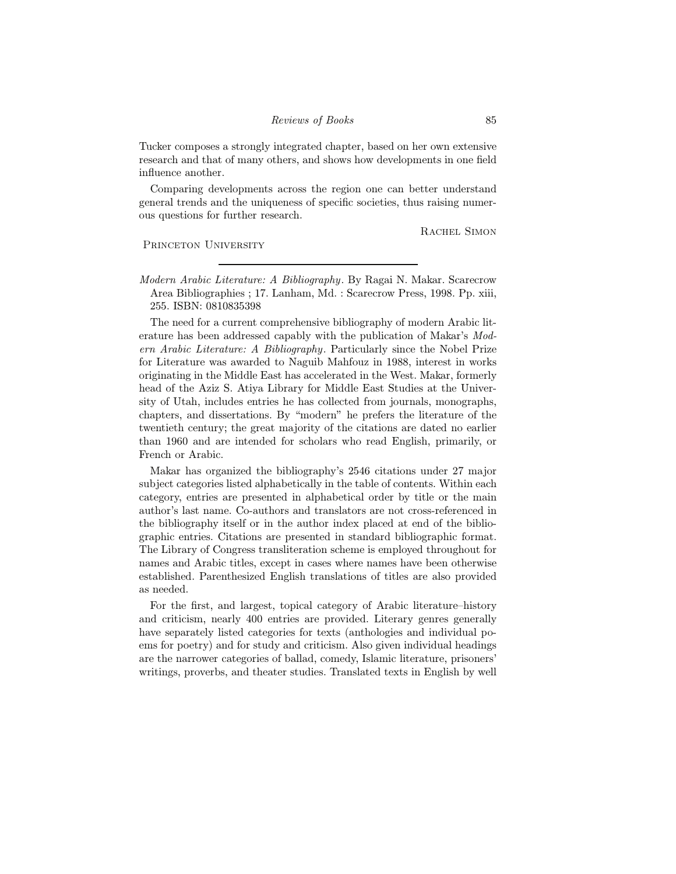Tucker composes a strongly integrated chapter, based on her own extensive research and that of many others, and shows how developments in one field influence another.

Comparing developments across the region one can better understand general trends and the uniqueness of specific societies, thus raising numerous questions for further research.

RACHEL SIMON

PRINCETON UNIVERSITY

Modern Arabic Literature: A Bibliography. By Ragai N. Makar. Scarecrow Area Bibliographies ; 17. Lanham, Md. : Scarecrow Press, 1998. Pp. xiii, 255. ISBN: 0810835398

The need for a current comprehensive bibliography of modern Arabic literature has been addressed capably with the publication of Makar's Modern Arabic Literature: A Bibliography. Particularly since the Nobel Prize for Literature was awarded to Naguib Mahfouz in 1988, interest in works originating in the Middle East has accelerated in the West. Makar, formerly head of the Aziz S. Atiya Library for Middle East Studies at the University of Utah, includes entries he has collected from journals, monographs, chapters, and dissertations. By "modern" he prefers the literature of the twentieth century; the great majority of the citations are dated no earlier than 1960 and are intended for scholars who read English, primarily, or French or Arabic.

Makar has organized the bibliography's 2546 citations under 27 major subject categories listed alphabetically in the table of contents. Within each category, entries are presented in alphabetical order by title or the main author's last name. Co-authors and translators are not cross-referenced in the bibliography itself or in the author index placed at end of the bibliographic entries. Citations are presented in standard bibliographic format. The Library of Congress transliteration scheme is employed throughout for names and Arabic titles, except in cases where names have been otherwise established. Parenthesized English translations of titles are also provided as needed.

For the first, and largest, topical category of Arabic literature—history and criticism, nearly 400 entries are provided. Literary genres generally have separately listed categories for texts (anthologies and individual poems for poetry) and for study and criticism. Also given individual headings are the narrower categories of ballad, comedy, Islamic literature, prisoners' writings, proverbs, and theater studies. Translated texts in English by well